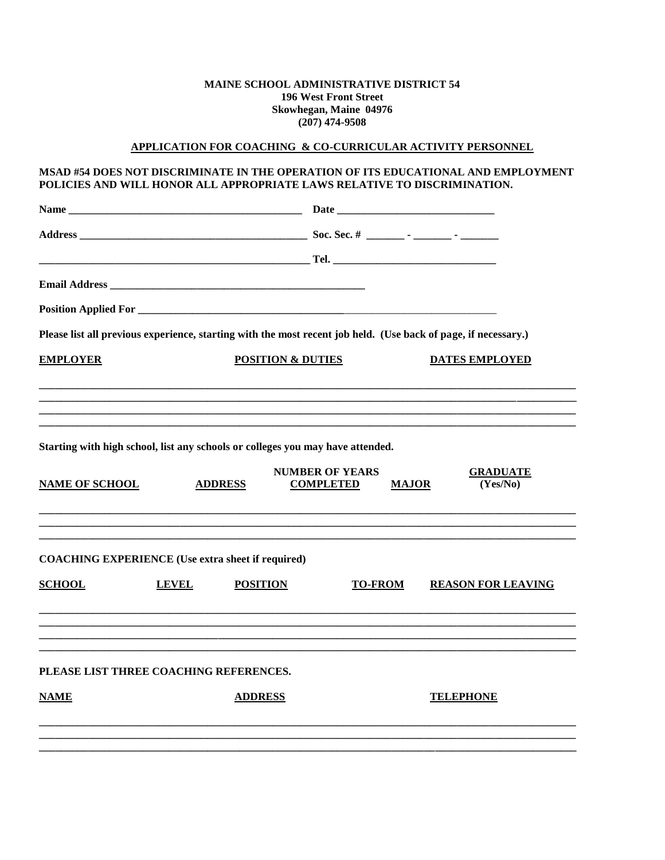## MAINE SCHOOL ADMINISTRATIVE DISTRICT 54 **196 West Front Street** Skowhegan, Maine 04976  $(207)$  474-9508

## APPLICATION FOR COACHING & CO-CURRICULAR ACTIVITY PERSONNEL

## MSAD #54 DOES NOT DISCRIMINATE IN THE OPERATION OF ITS EDUCATIONAL AND EMPLOYMENT POLICIES AND WILL HONOR ALL APPROPRIATE LAWS RELATIVE TO DISCRIMINATION.

|                                                                                |              |                 |                                                            | Please list all previous experience, starting with the most recent job held. (Use back of page, if necessary.) |
|--------------------------------------------------------------------------------|--------------|-----------------|------------------------------------------------------------|----------------------------------------------------------------------------------------------------------------|
| <b>EMPLOYER</b>                                                                |              |                 | <b>POSITION &amp; DUTIES</b><br><b>DATES EMPLOYED</b>      |                                                                                                                |
|                                                                                |              |                 |                                                            |                                                                                                                |
| Starting with high school, list any schools or colleges you may have attended. |              |                 |                                                            |                                                                                                                |
| <b>NAME OF SCHOOL</b>                                                          |              | <b>ADDRESS</b>  | <b>NUMBER OF YEARS</b><br><b>COMPLETED</b><br><b>MAJOR</b> | <b>GRADUATE</b><br>(Yes/No)                                                                                    |
| <b>COACHING EXPERIENCE</b> (Use extra sheet if required)                       |              |                 |                                                            |                                                                                                                |
| <b>SCHOOL</b>                                                                  | <b>LEVEL</b> | <b>POSITION</b> | <b>TO-FROM</b>                                             | <b>REASON FOR LEAVING</b>                                                                                      |
|                                                                                |              |                 |                                                            |                                                                                                                |
| PLEASE LIST THREE COACHING REFERENCES.                                         |              |                 |                                                            |                                                                                                                |
| <b>NAME</b>                                                                    |              | <b>ADDRESS</b>  |                                                            | <b>TELEPHONE</b>                                                                                               |
|                                                                                |              |                 |                                                            |                                                                                                                |
|                                                                                |              |                 |                                                            |                                                                                                                |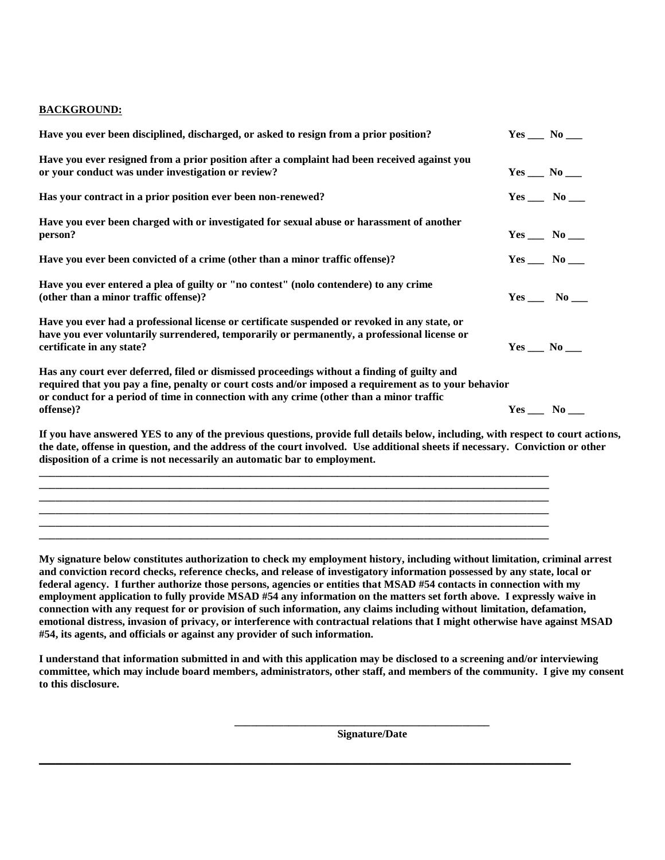#### **BACKGROUND:**

| Have you ever been disciplined, discharged, or asked to resign from a prior position?                                                                                                                                                                                                                                                          | $Yes \_\_ No \_\_$         |
|------------------------------------------------------------------------------------------------------------------------------------------------------------------------------------------------------------------------------------------------------------------------------------------------------------------------------------------------|----------------------------|
| Have you ever resigned from a prior position after a complaint had been received against you<br>or your conduct was under investigation or review?                                                                                                                                                                                             | $Yes$ __ $No$ __           |
| Has your contract in a prior position ever been non-renewed?                                                                                                                                                                                                                                                                                   | Yes $\_\_\_\$ No $\_\_\_\$ |
| Have you ever been charged with or investigated for sexual abuse or harassment of another<br>person?                                                                                                                                                                                                                                           | Yes $\_\_\_\$ No $\_\_\_\$ |
| Have you ever been convicted of a crime (other than a minor traffic offense)?                                                                                                                                                                                                                                                                  | Yes $\_\_\_\$ No $\_\_\_\$ |
| Have you ever entered a plea of guilty or "no contest" (nolo contendere) to any crime<br>(other than a minor traffic offense)?                                                                                                                                                                                                                 | Yes $\_\_\_\$ No $\_\_\_\$ |
| Have you ever had a professional license or certificate suspended or revoked in any state, or<br>have you ever voluntarily surrendered, temporarily or permanently, a professional license or<br>certificate in any state?                                                                                                                     | $Yes \_\_ No \_\_$         |
| Has any court ever deferred, filed or dismissed proceedings without a finding of guilty and<br>required that you pay a fine, penalty or court costs and/or imposed a requirement as to your behavior<br>or conduct for a period of time in connection with any crime (other than a minor traffic                                               |                            |
| offense)?                                                                                                                                                                                                                                                                                                                                      | Yes $\_\_\_\$ No $\_\_\_\$ |
| If you have answered YES to any of the previous questions, provide full details below, including, with respect to court actions,<br>the date, offense in question, and the address of the court involved. Use additional sheets if necessary. Conviction or other<br>disposition of a crime is not necessarily an automatic bar to employment. |                            |

**My signature below constitutes authorization to check my employment history, including without limitation, criminal arrest and conviction record checks, reference checks, and release of investigatory information possessed by any state, local or federal agency. I further authorize those persons, agencies or entities that MSAD #54 contacts in connection with my employment application to fully provide MSAD #54 any information on the matters set forth above. I expressly waive in connection with any request for or provision of such information, any claims including without limitation, defamation, emotional distress, invasion of privacy, or interference with contractual relations that I might otherwise have against MSAD #54, its agents, and officials or against any provider of such information.**

**I understand that information submitted in and with this application may be disclosed to a screening and/or interviewing committee, which may include board members, administrators, other staff, and members of the community. I give my consent to this disclosure.**

**\_\_\_\_\_\_\_\_\_\_\_\_\_\_\_\_\_\_\_\_\_\_\_\_\_\_\_\_\_\_\_\_\_\_\_\_\_\_\_\_\_\_\_\_\_\_\_\_\_\_\_\_\_\_\_\_\_\_\_\_\_\_\_\_\_\_\_\_\_\_\_\_\_\_\_\_\_\_\_\_\_\_\_\_\_\_\_\_\_\_\_\_\_\_\_\_\_\_**

 **Signature/Date**

**\_\_\_\_\_\_\_\_\_\_\_\_\_\_\_\_\_\_\_\_\_\_\_\_\_\_\_\_\_\_\_\_\_\_\_\_\_\_\_\_\_\_\_\_\_\_\_**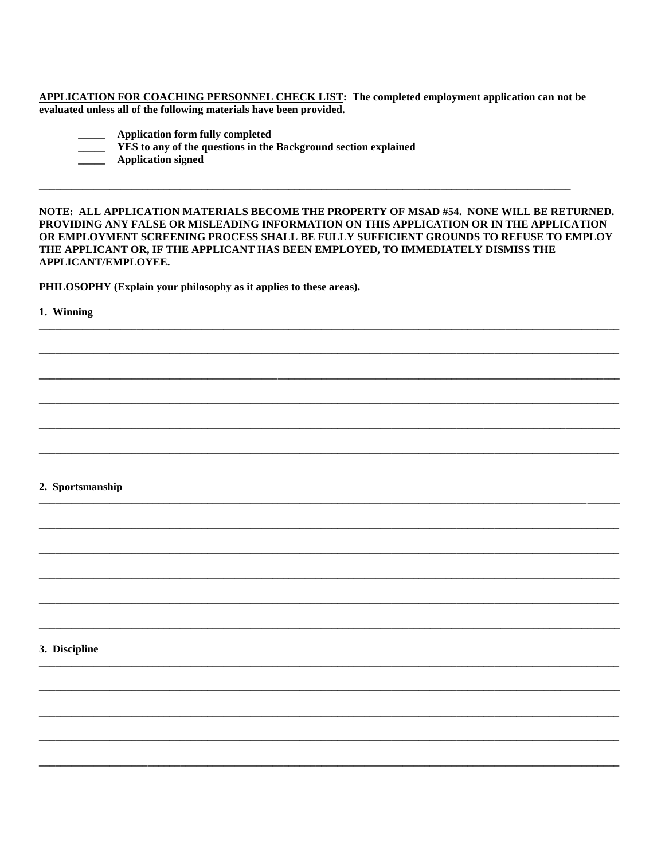APPLICATION FOR COACHING PERSONNEL CHECK LIST: The completed employment application can not be evaluated unless all of the following materials have been provided.

**Application form fully completed** 

- YES to any of the questions in the Background section explained
- **Application signed**

NOTE: ALL APPLICATION MATERIALS BECOME THE PROPERTY OF MSAD #54. NONE WILL BE RETURNED. PROVIDING ANY FALSE OR MISLEADING INFORMATION ON THIS APPLICATION OR IN THE APPLICATION OR EMPLOYMENT SCREENING PROCESS SHALL BE FULLY SUFFICIENT GROUNDS TO REFUSE TO EMPLOY THE APPLICANT OR, IF THE APPLICANT HAS BEEN EMPLOYED, TO IMMEDIATELY DISMISS THE APPLICANT/EMPLOYEE.

PHILOSOPHY (Explain your philosophy as it applies to these areas).

1. Winning

### 2. Sportsmanship

## 3. Discipline